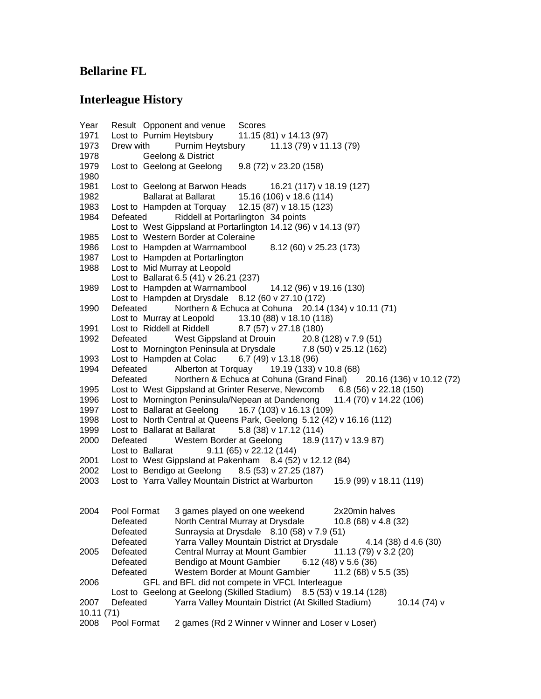## **Bellarine FL**

## **Interleague History**

Year Result Opponent and venue Scores Lost to Purnim Heytsbury 11.15 (81) v 14.13 (97) Drew with Purnim Heytsbury 11.13 (79) v 11.13 (79) Geelong & District Lost to Geelong at Geelong 9.8 (72) v 23.20 (158) Lost to Geelong at Barwon Heads 16.21 (117) v 18.19 (127) Ballarat at Ballarat 15.16 (106) v 18.6 (114) Lost to Hampden at Torquay 12.15 (87) v 18.15 (123) Defeated Riddell at Portarlington 34 points Lost to West Gippsland at Portarlington 14.12 (96) v 14.13 (97) Lost to Western Border at Coleraine Lost to Hampden at Warrnambool 8.12 (60) v 25.23 (173) Lost to Hampden at Portarlington Lost to Mid Murray at Leopold Lost to Ballarat 6.5 (41) v 26.21 (237) Lost to Hampden at Warrnambool 14.12 (96) v 19.16 (130) Lost to Hampden at Drysdale  $8.12$  (60 v 27.10 (172) Defeated Northern & Echuca at Cohuna 20.14 (134) v 10.11 (71) Lost to Murray at Leopold  $13.10 (88)$  v 18.10 (118) Lost to Riddell at Riddell 8.7 (57) v 27.18 (180) Defeated West Gippsland at Drouin 20.8 (128) v 7.9 (51) Lost to Mornington Peninsula at Drysdale 7.8 (50) v 25.12 (162) Lost to Hampden at Colac 6.7 (49) v 13.18 (96) Defeated Alberton at Torquay 19.19 (133) v 10.8 (68) Defeated Northern & Echuca at Cohuna (Grand Final) 20.16 (136) v 10.12 (72) Lost to West Gippsland at Grinter Reserve, Newcomb 6.8 (56) v 22.18 (150) Lost to Mornington Peninsula/Nepean at Dandenong 11.4 (70) v 14.22 (106) Lost to Ballarat at Geelong 16.7 (103) v 16.13 (109) Lost to North Central at Queens Park, Geelong 5.12 (42) v 16.16 (112) Lost to Ballarat at Ballarat 5.8 (38) v 17.12 (114) Defeated Western Border at Geelong 18.9 (117) v 13.9 87) Lost to Ballarat 9.11 (65) v 22.12 (144) Lost to West Gippsland at Pakenham 8.4 (52) v 12.12 (84) Lost to Bendigo at Geelong 8.5 (53) v 27.25 (187) Lost to Yarra Valley Mountain District at Warburton 15.9 (99) v 18.11 (119) Pool Format 3 games played on one weekend 2x20min halves Defeated North Central Murray at Drysdale 10.8 (68) v 4.8 (32) Defeated Sunraysia at Drysdale 8.10 (58) v 7.9 (51) Defeated Yarra Valley Mountain District at Drysdale 4.14 (38) d 4.6 (30) Defeated Central Murray at Mount Gambier 11.13 (79) v 3.2 (20) Defeated Bendigo at Mount Gambier 6.12 (48) v 5.6 (36) Defeated Western Border at Mount Gambier 11.2 (68) v 5.5 (35) GFL and BFL did not compete in VFCL Interleague Lost to Geelong at Geelong (Skilled Stadium) 8.5 (53) v 19.14 (128) Defeated Yarra Valley Mountain District (At Skilled Stadium) 10.14 (74) v 10.11 (71) Pool Format 2 games (Rd 2 Winner v Winner and Loser v Loser)